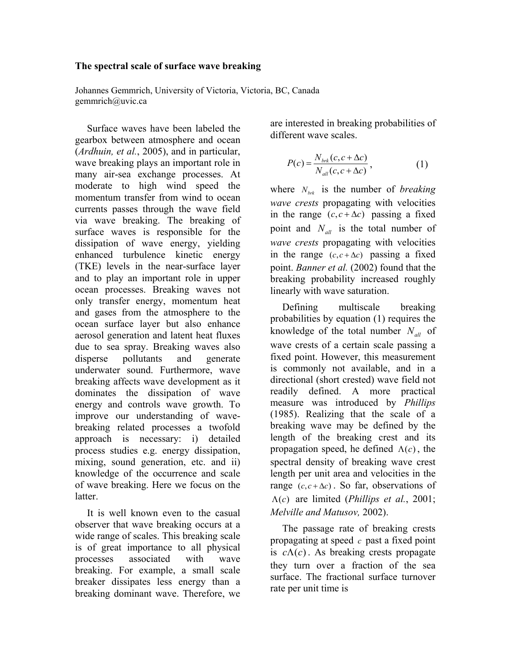# **The spectral scale of surface wave breaking**

Johannes Gemmrich, University of Victoria, Victoria, BC, Canada gemmrich@uvic.ca

Surface waves have been labeled the gearbox between atmosphere and ocean (*Ardhuin, et al.*, 2005), and in particular, wave breaking plays an important role in many air-sea exchange processes. At moderate to high wind speed the momentum transfer from wind to ocean currents passes through the wave field via wave breaking. The breaking of surface waves is responsible for the dissipation of wave energy, yielding enhanced turbulence kinetic energy (TKE) levels in the near-surface layer and to play an important role in upper ocean processes. Breaking waves not only transfer energy, momentum heat and gases from the atmosphere to the ocean surface layer but also enhance aerosol generation and latent heat fluxes due to sea spray. Breaking waves also disperse pollutants and generate underwater sound. Furthermore, wave breaking affects wave development as it dominates the dissipation of wave energy and controls wave growth. To improve our understanding of wavebreaking related processes a twofold approach is necessary: i) detailed process studies e.g. energy dissipation, mixing, sound generation, etc. and ii) knowledge of the occurrence and scale of wave breaking. Here we focus on the latter.

It is well known even to the casual observer that wave breaking occurs at a wide range of scales. This breaking scale is of great importance to all physical processes associated with wave breaking. For example, a small scale breaker dissipates less energy than a breaking dominant wave. Therefore, we

are interested in breaking probabilities of different wave scales.

$$
P(c) = \frac{N_{brk}(c, c + \Delta c)}{N_{all}(c, c + \Delta c)},
$$
\n(1)

where  $N_{brk}$  is the number of *breaking wave crests* propagating with velocities in the range  $(c, c + \Delta c)$  passing a fixed point and  $N_{all}$  is the total number of *wave crests* propagating with velocities in the range  $(c, c + \Delta c)$  passing a fixed point. *Banner et al.* (2002) found that the breaking probability increased roughly linearly with wave saturation.

Defining multiscale breaking probabilities by equation (1) requires the knowledge of the total number  $N_{all}$  of wave crests of a certain scale passing a fixed point. However, this measurement is commonly not available, and in a directional (short crested) wave field not readily defined. A more practical measure was introduced by *Phillips* (1985). Realizing that the scale of a breaking wave may be defined by the length of the breaking crest and its propagation speed, he defined  $\Lambda(c)$ , the spectral density of breaking wave crest length per unit area and velocities in the range  $(c, c + \Delta c)$ . So far, observations of Λ( ) *c* are limited (*Phillips et al.*, 2001; *Melville and Matusov,* 2002).

The passage rate of breaking crests propagating at speed *c* past a fixed point is  $c \Lambda(c)$ . As breaking crests propagate they turn over a fraction of the sea surface. The fractional surface turnover rate per unit time is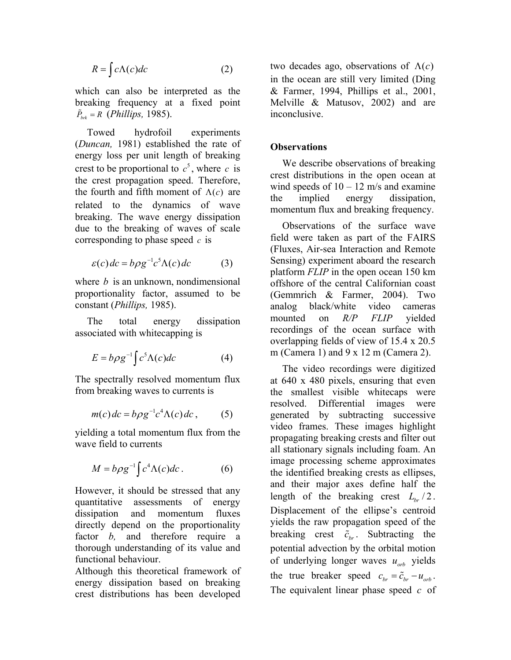$$
R = \int c\Lambda(c)dc
$$
 (2)

which can also be interpreted as the breaking frequency at a fixed point  $\tilde{P}_{brk} = R$  (*Phillips*, 1985).

Towed hydrofoil experiments (*Duncan,* 1981) established the rate of energy loss per unit length of breaking crest to be proportional to  $c^5$ , where c is the crest propagation speed. Therefore, the fourth and fifth moment of  $\Lambda(c)$  are related to the dynamics of wave breaking. The wave energy dissipation due to the breaking of waves of scale corresponding to phase speed *c* is

$$
\varepsilon(c)dc = b\rho g^{-1}c^{5}\Lambda(c)dc \qquad (3)
$$

where *b* is an unknown, nondimensional proportionality factor, assumed to be constant (*Phillips,* 1985).

The total energy dissipation associated with whitecapping is

$$
E = b\rho g^{-1} \int c^5 \Lambda(c) dc \tag{4}
$$

The spectrally resolved momentum flux from breaking waves to currents is

$$
m(c)dc = b\rho g^{-1}c^4\Lambda(c)dc, \qquad (5)
$$

yielding a total momentum flux from the wave field to currents

$$
M = b\rho g^{-1} \int c^4 \Lambda(c) dc.
$$
 (6)

However, it should be stressed that any quantitative assessments of energy dissipation and momentum fluxes directly depend on the proportionality factor *b*, and therefore require a thorough understanding of its value and functional behaviour.

Although this theoretical framework of energy dissipation based on breaking crest distributions has been developed

two decades ago, observations of  $\Lambda(c)$ in the ocean are still very limited (Ding & Farmer, 1994, Phillips et al., 2001, Melville & Matusov, 2002) and are inconclusive.

### **Observations**

We describe observations of breaking crest distributions in the open ocean at wind speeds of  $10 - 12$  m/s and examine the implied energy dissipation, momentum flux and breaking frequency.

Observations of the surface wave field were taken as part of the FAIRS (Fluxes, Air-sea Interaction and Remote Sensing) experiment aboard the research platform *FLIP* in the open ocean 150 km offshore of the central Californian coast (Gemmrich & Farmer, 2004). Two analog black/white video cameras mounted on *R/P FLIP* yielded recordings of the ocean surface with overlapping fields of view of 15.4 x 20.5 m (Camera 1) and 9 x 12 m (Camera 2).

The video recordings were digitized at 640 x 480 pixels, ensuring that even the smallest visible whitecaps were resolved. Differential images were generated by subtracting successive video frames. These images highlight propagating breaking crests and filter out all stationary signals including foam. An image processing scheme approximates the identified breaking crests as ellipses, and their major axes define half the length of the breaking crest  $L_{bc}/2$ . Displacement of the ellipse's centroid yields the raw propagation speed of the breaking crest  $\tilde{c}_{hr}$ . Subtracting the potential advection by the orbital motion of underlying longer waves  $u_{orb}$  yields the true breaker speed  $c_{br} = \tilde{c}_{br} - u_{orb}$ . The equivalent linear phase speed *c* of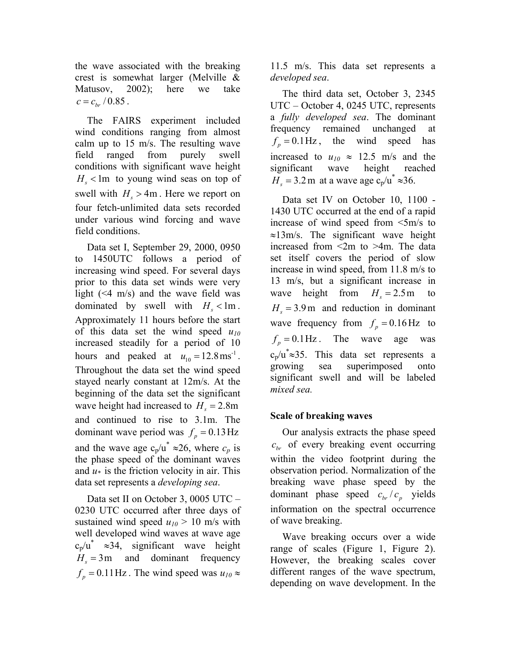the wave associated with the breaking crest is somewhat larger (Melville & Matusov, 2002); here we take  $c = c_{bc} / 0.85$ .

The FAIRS experiment included wind conditions ranging from almost calm up to 15 m/s. The resulting wave field ranged from purely swell conditions with significant wave height  $H<sub>s</sub>$  < 1m to young wind seas on top of swell with  $H_s > 4m$ . Here we report on four fetch-unlimited data sets recorded under various wind forcing and wave field conditions.

Data set I, September 29, 2000, 0950 to 1450UTC follows a period of increasing wind speed. For several days prior to this data set winds were very light  $(\leq 4 \text{ m/s})$  and the wave field was dominated by swell with  $H_s$  < lm. Approximately 11 hours before the start of this data set the wind speed *u10* increased steadily for a period of 10 hours and peaked at  $u_{10} = 12.8 \text{ ms}^{-1}$ . Throughout the data set the wind speed stayed nearly constant at 12m/s. At the beginning of the data set the significant wave height had increased to  $H<sub>s</sub> = 2.8$ m and continued to rise to 3.1m. The dominant wave period was  $f<sub>n</sub> = 0.13 \text{ Hz}$ and the wave age  $c_p/u^* \approx 26$ , where  $c_p$  is the phase speed of the dominant waves and  $u*$  is the friction velocity in air. This data set represents a *developing sea*.

Data set II on October 3, 0005 UTC – 0230 UTC occurred after three days of sustained wind speed  $u_{10}$  > 10 m/s with well developed wind waves at wave age  $c_p/u^* \approx 34$ , significant wave height  $H<sub>s</sub> = 3$ m and dominant frequency  $f_p = 0.11$  Hz. The wind speed was  $u_{10} \approx$  11.5 m/s. This data set represents a *developed sea*.

The third data set, October 3, 2345 UTC – October 4, 0245 UTC, represents a *fully developed sea*. The dominant frequency remained unchanged at  $f_p = 0.1 \text{ Hz}$ , the wind speed has increased to  $u_{10} \approx 12.5$  m/s and the significant wave height reached  $H<sub>s</sub> = 3.2$  m at a wave age c<sub>p</sub>/u<sup>\*</sup> ≈36.

Data set IV on October 10, 1100 - 1430 UTC occurred at the end of a rapid increase of wind speed from <5m/s to ≈13m/s. The significant wave height increased from <2m to >4m. The data set itself covers the period of slow increase in wind speed, from 11.8 m/s to 13 m/s, but a significant increase in wave height from  $H<sub>s</sub> = 2.5$ m to  $H<sub>s</sub> = 3.9$  m and reduction in dominant wave frequency from  $f<sub>n</sub> = 0.16$  Hz to  $f_p = 0.1 \text{ Hz}$ . The wave age was  $c_p/u^* \approx 35$ . This data set represents a growing sea superimposed onto significant swell and will be labeled *mixed sea.* 

# **Scale of breaking waves**

Our analysis extracts the phase speed  $c_{\text{br}}$  of every breaking event occurring within the video footprint during the observation period. Normalization of the breaking wave phase speed by the dominant phase speed  $c_{br}/c_p$  yields information on the spectral occurrence of wave breaking.

Wave breaking occurs over a wide range of scales (Figure 1, Figure 2). However, the breaking scales cover different ranges of the wave spectrum, depending on wave development. In the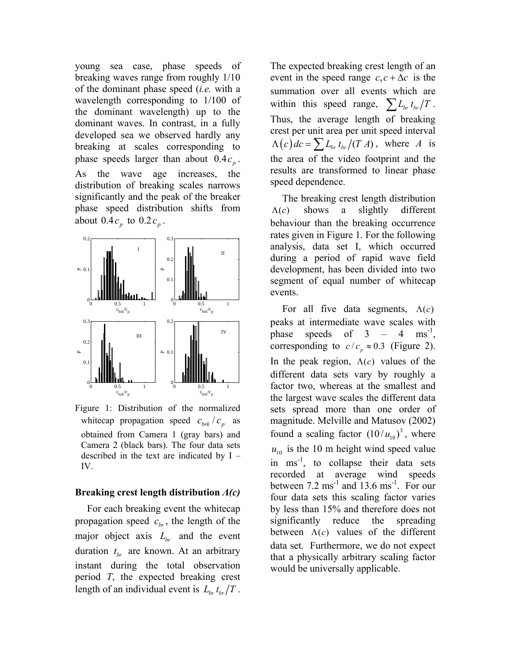young sea case, phase speeds of breaking waves range from roughly 1/10 of the dominant phase speed (*i.e.* with a wavelength corresponding to 1/100 of the dominant wavelength) up to the dominant waves. In contrast, in a fully developed sea we observed hardly any breaking at scales corresponding to phase speeds larger than about  $0.4 c<sub>p</sub>$ . As the wave age increases, the distribution of breaking scales narrows significantly and the peak of the breaker phase speed distribution shifts from about  $0.4 c_n$  to  $0.2 c_n$ .



Figure 1: Distribution of the normalized whitecap propagation speed  $c_{brk}/c_p$  as obtained from Camera 1 (gray bars) and Camera 2 (black bars). The four data sets described in the text are indicated by I – IV.

### **Breaking crest length distribution** *Λ(c)*

For each breaking event the whitecap propagation speed  $c_{hr}$ , the length of the major object axis  $L_{br}$  and the event duration  $t_{br}$  are known. At an arbitrary instant during the total observation period *T*, the expected breaking crest length of an individual event is  $L_{br} t_{br}/T$ .

The expected breaking crest length of an event in the speed range  $c, c + \Delta c$  is the summation over all events which are within this speed range,  $\sum L_{br} t_{br}/T$ . Thus, the average length of breaking crest per unit area per unit speed interval  $\Lambda(c)$   $dc = \sum L_{br} t_{br} / (T A)$ , where *A* is the area of the video footprint and the results are transformed to linear phase speed dependence.

The breaking crest length distribution  $\Lambda(c)$  shows a slightly different behaviour than the breaking occurrence rates given in Figure 1. For the following analysis, data set I, which occurred during a period of rapid wave field development, has been divided into two segment of equal number of whitecap events.

For all five data segments,  $\Lambda(c)$ peaks at intermediate wave scales with phase speeds of  $3 - 4 \text{ ms}^{-1}$ , corresponding to  $c / c_p \approx 0.3$  (Figure 2). In the peak region,  $\Lambda(c)$  values of the different data sets vary by roughly a factor two, whereas at the smallest and the largest wave scales the different data sets spread more than one order of magnitude. Melville and Matusov (2002) found a scaling factor  $(10 / u_{10})^3$ , where  $u_{10}$  is the 10 m height wind speed value in  $ms^{-1}$ , to collapse their data sets recorded at average wind speeds between  $7.2 \text{ ms}^{-1}$  and  $13.6 \text{ ms}^{-1}$ . For our four data sets this scaling factor varies by less than 15% and therefore does not significantly reduce the spreading between  $\Lambda(c)$  values of the different data set. Furthermore, we do not expect that a physically arbitrary scaling factor would be universally applicable.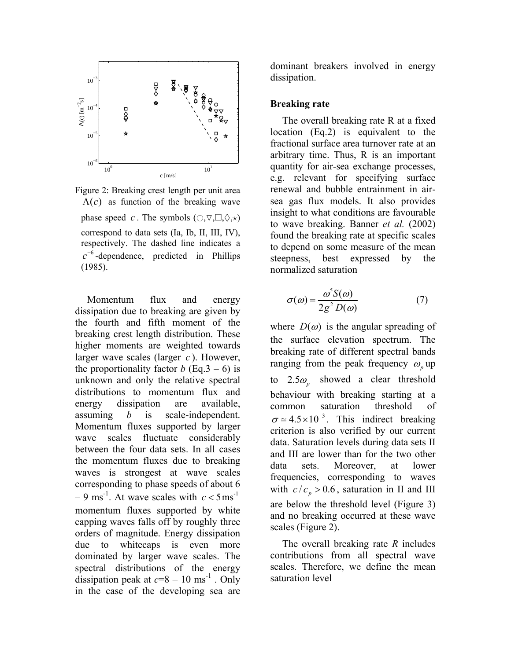

Figure 2: Breaking crest length per unit area  $\Lambda(c)$  as function of the breaking wave phase speed *c*. The symbols  $( \bigcirc, \nabla, \Box, \Diamond, \star)$ correspond to data sets (Ia, Ib, II, III, IV), respectively. The dashed line indicates a <sup>6</sup> *c*<sup>−</sup> -dependence, predicted in Phillips (1985).

Momentum flux and energy dissipation due to breaking are given by the fourth and fifth moment of the breaking crest length distribution. These higher moments are weighted towards larger wave scales (larger *c* ). However, the proportionality factor *b* (Eq.3 – 6) is unknown and only the relative spectral distributions to momentum flux and energy dissipation are available, assuming *b* is scale-independent. Momentum fluxes supported by larger wave scales fluctuate considerably between the four data sets. In all cases the momentum fluxes due to breaking waves is strongest at wave scales corresponding to phase speeds of about 6  $-9 \text{ ms}^{-1}$ . At wave scales with  $c < 5 \text{ ms}^{-1}$ momentum fluxes supported by white capping waves falls off by roughly three orders of magnitude. Energy dissipation due to whitecaps is even more dominated by larger wave scales. The spectral distributions of the energy dissipation peak at  $c=8-10$  ms<sup>-1</sup>. Only in the case of the developing sea are

dominant breakers involved in energy dissipation.

#### **Breaking rate**

The overall breaking rate R at a fixed location (Eq.2) is equivalent to the fractional surface area turnover rate at an arbitrary time. Thus, R is an important quantity for air-sea exchange processes, e.g. relevant for specifying surface renewal and bubble entrainment in airsea gas flux models. It also provides insight to what conditions are favourable to wave breaking. Banner *et al.* (2002) found the breaking rate at specific scales to depend on some measure of the mean steepness, best expressed by the normalized saturation

$$
\sigma(\omega) = \frac{\omega^5 S(\omega)}{2g^2 D(\omega)}\tag{7}
$$

where  $D(\omega)$  is the angular spreading of the surface elevation spectrum. The breaking rate of different spectral bands ranging from the peak frequency  $\omega$  up to  $2.5\omega$ <sub>n</sub> showed a clear threshold behaviour with breaking starting at a common saturation threshold of  $\sigma \approx 4.5 \times 10^{-3}$ . This indirect breaking criterion is also verified by our current data. Saturation levels during data sets II and III are lower than for the two other data sets. Moreover, at lower frequencies, corresponding to waves with  $c / c_p > 0.6$ , saturation in II and III are below the threshold level (Figure 3) and no breaking occurred at these wave scales (Figure 2).

The overall breaking rate *R* includes contributions from all spectral wave scales. Therefore, we define the mean saturation level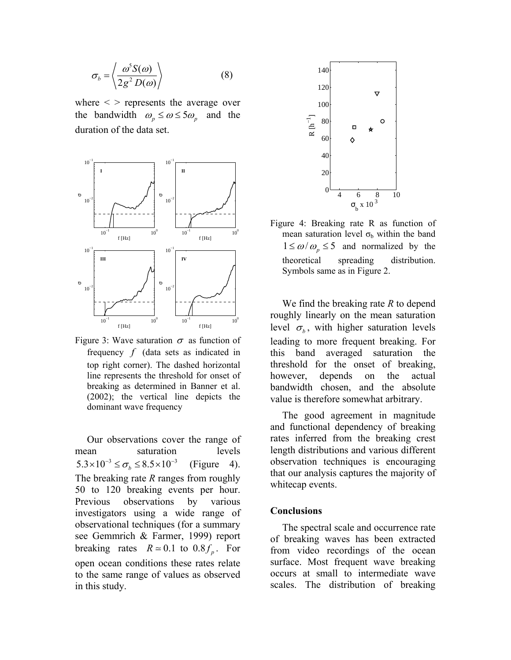$$
\sigma_b = \left\langle \frac{\omega^5 S(\omega)}{2g^2 D(\omega)} \right\rangle \tag{8}
$$

where  $\langle \rangle$  represents the average over the bandwidth  $\omega_p \le \omega \le 5 \omega_p$  and the duration of the data set.



Figure 3: Wave saturation  $\sigma$  as function of frequency *f* (data sets as indicated in top right corner). The dashed horizontal line represents the threshold for onset of breaking as determined in Banner et al. (2002); the vertical line depicts the dominant wave frequency

Our observations cover the range of mean saturation levels  $5.3 \times 10^{-3} \le \sigma_b \le 8.5 \times 10^{-3}$  (Figure 4). The breaking rate *R* ranges from roughly 50 to 120 breaking events per hour. Previous observations by various investigators using a wide range of observational techniques (for a summary see Gemmrich & Farmer, 1999) report breaking rates  $R \approx 0.1$  to  $0.8 f_p$ . For open ocean conditions these rates relate to the same range of values as observed in this study.



Figure 4: Breaking rate R as function of mean saturation level  $\sigma_b$  within the band  $1 \le \omega/\omega_p \le 5$  and normalized by the theoretical spreading distribution. Symbols same as in Figure 2.

We find the breaking rate *R* to depend roughly linearly on the mean saturation level  $\sigma_b$ , with higher saturation levels leading to more frequent breaking. For this band averaged saturation the threshold for the onset of breaking, however, depends on the actual bandwidth chosen, and the absolute value is therefore somewhat arbitrary.

The good agreement in magnitude and functional dependency of breaking rates inferred from the breaking crest length distributions and various different observation techniques is encouraging that our analysis captures the majority of whitecap events.

#### **Conclusions**

The spectral scale and occurrence rate of breaking waves has been extracted from video recordings of the ocean surface. Most frequent wave breaking occurs at small to intermediate wave scales. The distribution of breaking